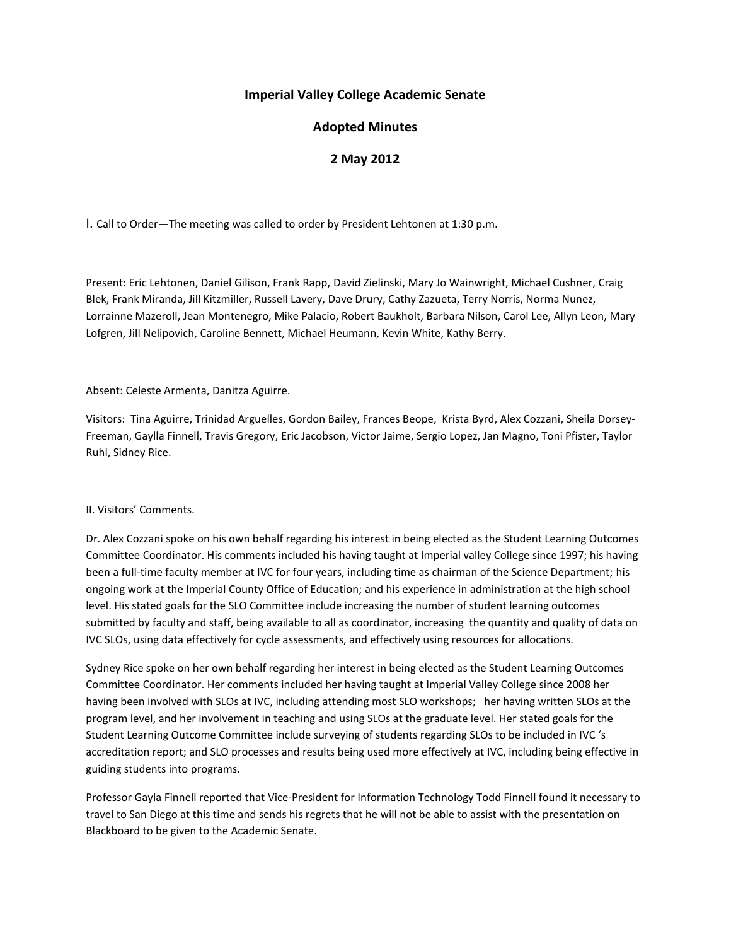# **Imperial Valley College Academic Senate**

# **Adopted Minutes**

# **2 May 2012**

I. Call to Order—The meeting was called to order by President Lehtonen at 1:30 p.m.

Present: Eric Lehtonen, Daniel Gilison, Frank Rapp, David Zielinski, Mary Jo Wainwright, Michael Cushner, Craig Blek, Frank Miranda, Jill Kitzmiller, Russell Lavery, Dave Drury, Cathy Zazueta, Terry Norris, Norma Nunez, Lorrainne Mazeroll, Jean Montenegro, Mike Palacio, Robert Baukholt, Barbara Nilson, Carol Lee, Allyn Leon, Mary Lofgren, Jill Nelipovich, Caroline Bennett, Michael Heumann, Kevin White, Kathy Berry.

### Absent: Celeste Armenta, Danitza Aguirre.

Visitors: Tina Aguirre, Trinidad Arguelles, Gordon Bailey, Frances Beope, Krista Byrd, Alex Cozzani, Sheila Dorsey-Freeman, Gaylla Finnell, Travis Gregory, Eric Jacobson, Victor Jaime, Sergio Lopez, Jan Magno, Toni Pfister, Taylor Ruhl, Sidney Rice.

#### II. Visitors' Comments.

Dr. Alex Cozzani spoke on his own behalf regarding his interest in being elected as the Student Learning Outcomes Committee Coordinator. His comments included his having taught at Imperial valley College since 1997; his having been a full-time faculty member at IVC for four years, including time as chairman of the Science Department; his ongoing work at the Imperial County Office of Education; and his experience in administration at the high school level. His stated goals for the SLO Committee include increasing the number of student learning outcomes submitted by faculty and staff, being available to all as coordinator, increasing the quantity and quality of data on IVC SLOs, using data effectively for cycle assessments, and effectively using resources for allocations.

Sydney Rice spoke on her own behalf regarding her interest in being elected as the Student Learning Outcomes Committee Coordinator. Her comments included her having taught at Imperial Valley College since 2008 her having been involved with SLOs at IVC, including attending most SLO workshops; her having written SLOs at the program level, and her involvement in teaching and using SLOs at the graduate level. Her stated goals for the Student Learning Outcome Committee include surveying of students regarding SLOs to be included in IVC 's accreditation report; and SLO processes and results being used more effectively at IVC, including being effective in guiding students into programs.

Professor Gayla Finnell reported that Vice-President for Information Technology Todd Finnell found it necessary to travel to San Diego at this time and sends his regrets that he will not be able to assist with the presentation on Blackboard to be given to the Academic Senate.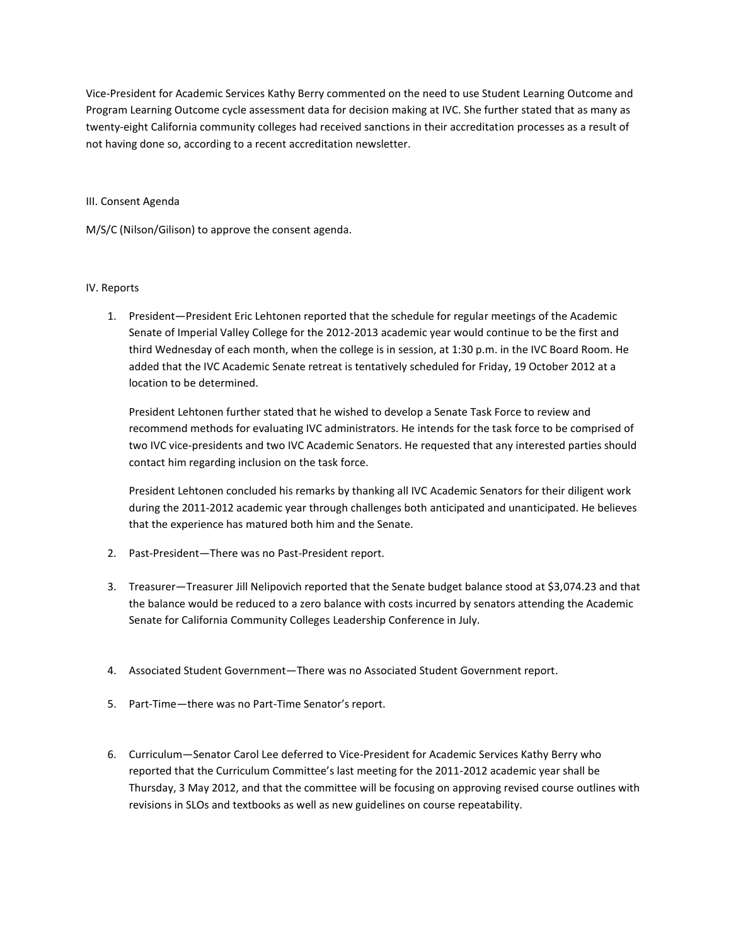Vice-President for Academic Services Kathy Berry commented on the need to use Student Learning Outcome and Program Learning Outcome cycle assessment data for decision making at IVC. She further stated that as many as twenty-eight California community colleges had received sanctions in their accreditation processes as a result of not having done so, according to a recent accreditation newsletter.

#### III. Consent Agenda

M/S/C (Nilson/Gilison) to approve the consent agenda.

### IV. Reports

1. President—President Eric Lehtonen reported that the schedule for regular meetings of the Academic Senate of Imperial Valley College for the 2012-2013 academic year would continue to be the first and third Wednesday of each month, when the college is in session, at 1:30 p.m. in the IVC Board Room. He added that the IVC Academic Senate retreat is tentatively scheduled for Friday, 19 October 2012 at a location to be determined.

President Lehtonen further stated that he wished to develop a Senate Task Force to review and recommend methods for evaluating IVC administrators. He intends for the task force to be comprised of two IVC vice-presidents and two IVC Academic Senators. He requested that any interested parties should contact him regarding inclusion on the task force.

President Lehtonen concluded his remarks by thanking all IVC Academic Senators for their diligent work during the 2011-2012 academic year through challenges both anticipated and unanticipated. He believes that the experience has matured both him and the Senate.

- 2. Past-President—There was no Past-President report.
- 3. Treasurer—Treasurer Jill Nelipovich reported that the Senate budget balance stood at \$3,074.23 and that the balance would be reduced to a zero balance with costs incurred by senators attending the Academic Senate for California Community Colleges Leadership Conference in July.
- 4. Associated Student Government—There was no Associated Student Government report.
- 5. Part-Time—there was no Part-Time Senator's report.
- 6. Curriculum—Senator Carol Lee deferred to Vice-President for Academic Services Kathy Berry who reported that the Curriculum Committee's last meeting for the 2011-2012 academic year shall be Thursday, 3 May 2012, and that the committee will be focusing on approving revised course outlines with revisions in SLOs and textbooks as well as new guidelines on course repeatability.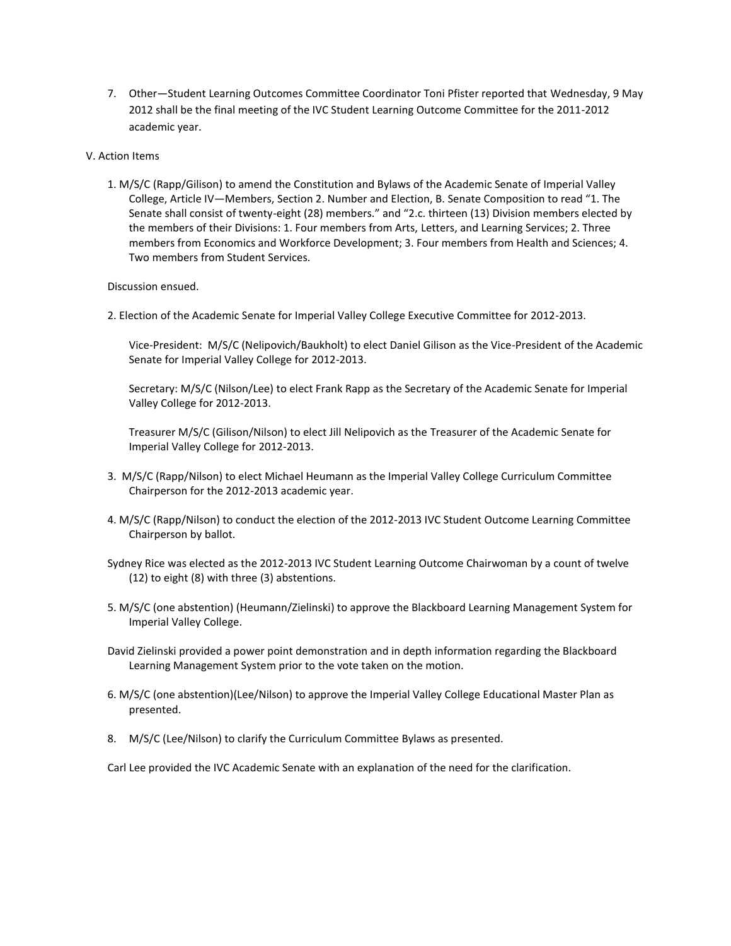- 7. Other—Student Learning Outcomes Committee Coordinator Toni Pfister reported that Wednesday, 9 May 2012 shall be the final meeting of the IVC Student Learning Outcome Committee for the 2011-2012 academic year.
- V. Action Items
	- 1. M/S/C (Rapp/Gilison) to amend the Constitution and Bylaws of the Academic Senate of Imperial Valley College, Article IV—Members, Section 2. Number and Election, B. Senate Composition to read "1. The Senate shall consist of twenty-eight (28) members." and "2.c. thirteen (13) Division members elected by the members of their Divisions: 1. Four members from Arts, Letters, and Learning Services; 2. Three members from Economics and Workforce Development; 3. Four members from Health and Sciences; 4. Two members from Student Services.

Discussion ensued.

2. Election of the Academic Senate for Imperial Valley College Executive Committee for 2012-2013.

Vice-President: M/S/C (Nelipovich/Baukholt) to elect Daniel Gilison as the Vice-President of the Academic Senate for Imperial Valley College for 2012-2013.

Secretary: M/S/C (Nilson/Lee) to elect Frank Rapp as the Secretary of the Academic Senate for Imperial Valley College for 2012-2013.

Treasurer M/S/C (Gilison/Nilson) to elect Jill Nelipovich as the Treasurer of the Academic Senate for Imperial Valley College for 2012-2013.

- 3. M/S/C (Rapp/Nilson) to elect Michael Heumann as the Imperial Valley College Curriculum Committee Chairperson for the 2012-2013 academic year.
- 4. M/S/C (Rapp/Nilson) to conduct the election of the 2012-2013 IVC Student Outcome Learning Committee Chairperson by ballot.
- Sydney Rice was elected as the 2012-2013 IVC Student Learning Outcome Chairwoman by a count of twelve (12) to eight (8) with three (3) abstentions.
- 5. M/S/C (one abstention) (Heumann/Zielinski) to approve the Blackboard Learning Management System for Imperial Valley College.
- David Zielinski provided a power point demonstration and in depth information regarding the Blackboard Learning Management System prior to the vote taken on the motion.
- 6. M/S/C (one abstention)(Lee/Nilson) to approve the Imperial Valley College Educational Master Plan as presented.
- 8. M/S/C (Lee/Nilson) to clarify the Curriculum Committee Bylaws as presented.

Carl Lee provided the IVC Academic Senate with an explanation of the need for the clarification.